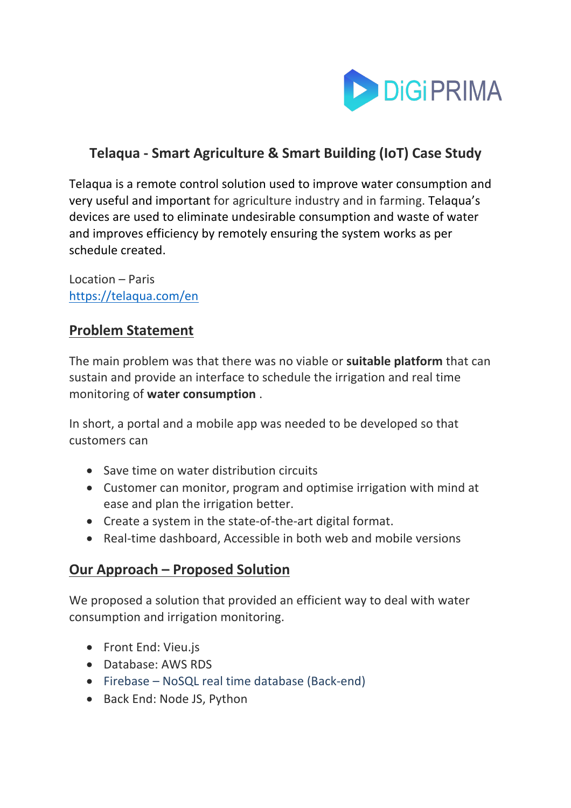

# **Telaqua - Smart Agriculture & Smart Building (IoT) Case Study**

Telaqua is a remote control solution used to improve water consumption and very useful and important for agriculture industry and in farming. Telaqua's devices are used to eliminate undesirable consumption and waste of water and improves efficiency by remotely ensuring the system works as per schedule created.

Location – Paris https://telaqua.com/en

### **Problem Statement**

The main problem was that there was no viable or **suitable platform** that can sustain and provide an interface to schedule the irrigation and real time monitoring of **water consumption** .

In short, a portal and a mobile app was needed to be developed so that customers can

- Save time on water distribution circuits
- Customer can monitor, program and optimise irrigation with mind at ease and plan the irrigation better.
- Create a system in the state-of-the-art digital format.
- Real-time dashboard, Accessible in both web and mobile versions

#### **Our Approach – Proposed Solution**

We proposed a solution that provided an efficient way to deal with water consumption and irrigation monitoring.

- Front End: Vieu.js
- Database: AWS RDS
- Firebase NoSQL real time database (Back-end)
- Back End: Node JS, Python